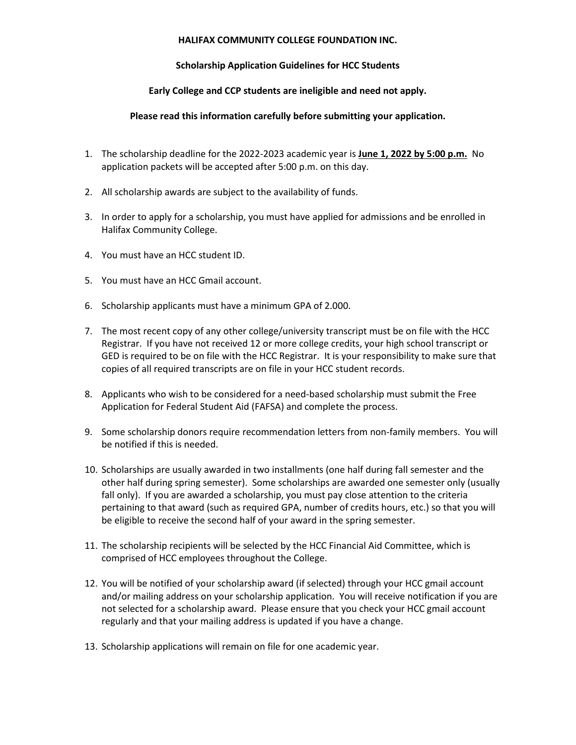## **HALIFAX COMMUNITY COLLEGE FOUNDATION INC.**

## **Scholarship Application Guidelines for HCC Students**

## **Early College and CCP students are ineligible and need not apply.**

## **Please read this information carefully before submitting your application.**

- 1. The scholarship deadline for the 2022-2023 academic year is **June 1, 2022 by 5:00 p.m.** No application packets will be accepted after 5:00 p.m. on this day.
- 2. All scholarship awards are subject to the availability of funds.
- 3. In order to apply for a scholarship, you must have applied for admissions and be enrolled in Halifax Community College.
- 4. You must have an HCC student ID.
- 5. You must have an HCC Gmail account.
- 6. Scholarship applicants must have a minimum GPA of 2.000.
- 7. The most recent copy of any other college/university transcript must be on file with the HCC Registrar. If you have not received 12 or more college credits, your high school transcript or GED is required to be on file with the HCC Registrar. It is your responsibility to make sure that copies of all required transcripts are on file in your HCC student records.
- 8. Applicants who wish to be considered for a need-based scholarship must submit the Free Application for Federal Student Aid (FAFSA) and complete the process.
- 9. Some scholarship donors require recommendation letters from non-family members. You will be notified if this is needed.
- 10. Scholarships are usually awarded in two installments (one half during fall semester and the other half during spring semester). Some scholarships are awarded one semester only (usually fall only). If you are awarded a scholarship, you must pay close attention to the criteria pertaining to that award (such as required GPA, number of credits hours, etc.) so that you will be eligible to receive the second half of your award in the spring semester.
- 11. The scholarship recipients will be selected by the HCC Financial Aid Committee, which is comprised of HCC employees throughout the College.
- 12. You will be notified of your scholarship award (if selected) through your HCC gmail account and/or mailing address on your scholarship application. You will receive notification if you are not selected for a scholarship award. Please ensure that you check your HCC gmail account regularly and that your mailing address is updated if you have a change.
- 13. Scholarship applications will remain on file for one academic year.